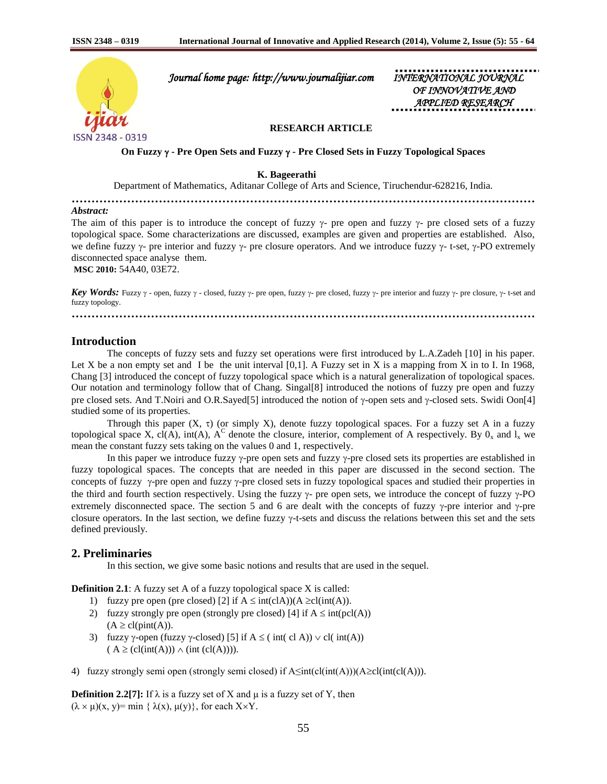

 *Journal home page: http://www.journalijiar.com INTERNATIONAL JOURNAL* 

 *OF INNOVATIVE AND APPLIED RESEARCH* 

# **RESEARCH ARTICLE**

**On Fuzzy - Pre Open Sets and Fuzzy - Pre Closed Sets in Fuzzy Topological Spaces**

 **K. Bageerathi**

Department of Mathematics, Aditanar College of Arts and Science, Tiruchendur-628216, India.

**………………………………………………………………………………………………………**

### *Abstract:*

The aim of this paper is to introduce the concept of fuzzy  $\gamma$ - pre open and fuzzy  $\gamma$ - pre closed sets of a fuzzy topological space. Some characterizations are discussed, examples are given and properties are established. Also, we define fuzzy  $\gamma$ - pre interior and fuzzy  $\gamma$ - pre closure operators. And we introduce fuzzy  $\gamma$ - t-set,  $\gamma$ -PO extremely disconnected space analyse them.

**MSC 2010:** 54A40, 03E72.

**Key Words:** Fuzzy  $\gamma$  - open, fuzzy  $\gamma$  - closed, fuzzy  $\gamma$ - pre open, fuzzy  $\gamma$ - pre closed, fuzzy  $\gamma$ - pre interior and fuzzy  $\gamma$ - pre closure,  $\gamma$ - t-set and fuzzy topology.

**………………………………………………………………………………………………………**

## **Introduction**

The concepts of fuzzy sets and fuzzy set operations were first introduced by L.A.Zadeh [10] in his paper. Let X be a non empty set and I be the unit interval  $[0,1]$ . A Fuzzy set in X is a mapping from X in to I. In 1968, Chang [3] introduced the concept of fuzzy topological space which is a natural generalization of topological spaces. Our notation and terminology follow that of Chang. Singal[8] introduced the notions of fuzzy pre open and fuzzy pre closed sets. And T.Noiri and O.R.Sayed[5] introduced the notion of  $\gamma$ -open sets and  $\gamma$ -closed sets. Swidi Oon[4] studied some of its properties.

Through this paper  $(X, \tau)$  (or simply X), denote fuzzy topological spaces. For a fuzzy set A in a fuzzy topological space X, cl(A), int(A),  $A^C$  denote the closure, interior, complement of A respectively. By  $0_x$  and  $1_x$  we mean the constant fuzzy sets taking on the values 0 and 1, respectively.

In this paper we introduce fuzzy  $\gamma$ -pre open sets and fuzzy  $\gamma$ -pre closed sets its properties are established in fuzzy topological spaces. The concepts that are needed in this paper are discussed in the second section. The concepts of fuzzy  $\gamma$ -pre open and fuzzy  $\gamma$ -pre closed sets in fuzzy topological spaces and studied their properties in the third and fourth section respectively. Using the fuzzy  $\gamma$ - pre open sets, we introduce the concept of fuzzy  $\gamma$ -PO extremely disconnected space. The section 5 and 6 are dealt with the concepts of fuzzy  $\gamma$ -pre interior and  $\gamma$ -pre closure operators. In the last section, we define fuzzy  $\gamma$ -t-sets and discuss the relations between this set and the sets defined previously.

## **2. Preliminaries**

In this section, we give some basic notions and results that are used in the sequel.

**Definition 2.1**: A fuzzy set A of a fuzzy topological space X is called:

- 1) fuzzy pre open (pre closed) [2] if  $A \leq int(cIA)(A \geq cl(int(A)).$
- 2) fuzzy strongly pre open (strongly pre closed) [4] if  $A \leq int(pcl(A))$  $(A \geq c \cdot l(\text{pint}(A)).$
- 3) fuzzy  $\gamma$ -open (fuzzy  $\gamma$ -closed) [5] if  $A \leq (int (c1 A)) \vee c1(int(A))$  $(A \geq (cl(int(A))) \wedge (int (cl(A))))$ .
- 4) fuzzy strongly semi open (strongly semi closed) if  $A\leq int(cl(int(A)))(A\geq cl(int(cl(A)))$ .

**Definition 2.2[7]:** If  $\lambda$  is a fuzzy set of X and  $\mu$  is a fuzzy set of Y, then  $(\lambda \times \mu)(x, y)$ = min {  $\lambda(x), \mu(y)$ }, for each X×Y.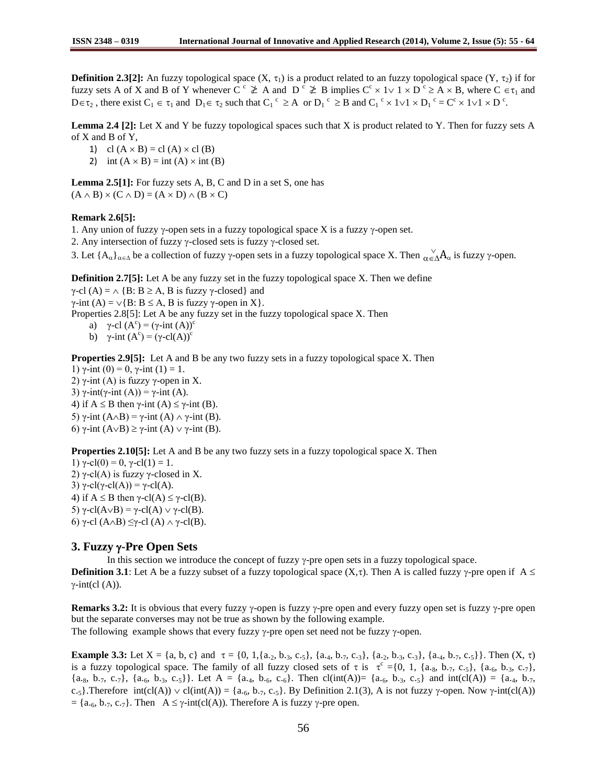**Definition 2.3[2]:** An fuzzy topological space  $(X, \tau_1)$  is a product related to an fuzzy topological space  $(Y, \tau_2)$  if for fuzzy sets A of X and B of Y whenever C<sup>c</sup>  $\geq$  A and D<sup>c</sup>  $\geq$  B implies C<sup>c</sup> x 1 $\vee$  1 x D<sup>c</sup>  $\geq$  A x B, where C  $\in \tau_1$  and  $D \in \tau_2$ , there exist  $C_1 \in \tau_1$  and  $D_1 \in \tau_2$  such that  $C_1^c \geq A$  or  $D_1^c \geq B$  and  $C_1^c \times 1 \vee 1 \times D_1^c = C^c \times 1 \vee 1 \times D^c$ .

**Lemma 2.4 [2]:** Let X and Y be fuzzy topological spaces such that X is product related to Y. Then for fuzzy sets A of X and B of Y,

- 1) cl  $(A \times B) = cl(A) \times cl(B)$
- 2) int  $(A \times B) = \text{int } (A) \times \text{int } (B)$

**Lemma 2.5[1]:** For fuzzy sets A, B, C and D in a set S, one has  $(A \wedge B) \times (C \wedge D) = (A \times D) \wedge (B \times C)$ 

### **Remark 2.6[5]:**

1. Any union of fuzzy  $\gamma$ -open sets in a fuzzy topological space X is a fuzzy  $\gamma$ -open set.

2. Any intersection of fuzzy  $\gamma$ -closed sets is fuzzy  $\gamma$ -closed set.

3. Let  ${A_{\alpha}}_{\alpha \in \Delta}$  be a collection of fuzzy  $\gamma$ -open sets in a fuzzy topological space X. Then  $\alpha \in \Delta A_{\alpha}$  is fuzzy  $\gamma$ -open.

**Definition 2.7[5]:** Let A be any fuzzy set in the fuzzy topological space X. Then we define

γ-cl (A) =  $\land$  {B: B  $\geq$  A, B is fuzzy γ-closed} and

 $\gamma$ -int (A) =  $\lor$ {B: B  $\leq$  A, B is fuzzy  $\gamma$ -open in X}.

Properties 2.8[5]: Let A be any fuzzy set in the fuzzy topological space X. Then

a)  $\gamma$ -cl  $(A^c) = (\gamma$ -int  $(A))^c$ 

b)  $\gamma$ -int  $(A^c) = (\gamma - cl(A))^c$ 

**Properties 2.9[5]:** Let A and B be any two fuzzy sets in a fuzzy topological space X. Then

1) γ-int (0) = 0, γ-int (1) = 1. 2)  $γ$ -int (A) is fuzzy  $γ$ -open in X. 3)  $\gamma$ -int(γ-int (A)) =  $\gamma$ -int (A). 4) if  $A \leq B$  then  $\gamma$ -int  $(A) \leq \gamma$ -int  $(B)$ . 5) γ-int  $(A \wedge B) = \gamma$ -int  $(A) \wedge \gamma$ -int  $(B)$ . 6) γ-int  $(A\vee B) \ge \gamma$ -int  $(A) \vee \gamma$ -int  $(B)$ .

**Properties 2.10[5]:** Let A and B be any two fuzzy sets in a fuzzy topological space X. Then 1)  $\gamma$ -cl(0) = 0,  $\gamma$ -cl(1) = 1. 2) γ-cl(A) is fuzzy γ-closed in X. 3)  $\gamma$ -cl( $\gamma$ -cl(A)) =  $\gamma$ -cl(A). 4) if  $A \leq B$  then  $\gamma$ -cl(A)  $\leq \gamma$ -cl(B). 5)  $\gamma$ -cl(A $\lor$ B) = γ-cl(A)  $\lor$  γ-cl(B). 6) γ-cl (A $\wedge$ B)  $\leq$ γ-cl (A)  $\wedge$  γ-cl(B).

# **3. Fuzzy -Pre Open Sets**

In this section we introduce the concept of fuzzy  $\gamma$ -pre open sets in a fuzzy topological space.

**Definition 3.1**: Let A be a fuzzy subset of a fuzzy topological space  $(X, \tau)$ . Then A is called fuzzy  $\gamma$ -pre open if A  $\leq$  $\gamma$ -int(cl (A)).

**Remarks 3.2:** It is obvious that every fuzzy  $\gamma$ -open is fuzzy  $\gamma$ -pre open and every fuzzy open set is fuzzy  $\gamma$ -pre open but the separate converses may not be true as shown by the following example.

The following example shows that every fuzzy  $\gamma$ -pre open set need not be fuzzy  $\gamma$ -open.

**Example 3.3:** Let  $X = \{a, b, c\}$  and  $\tau = \{0, 1, \{a_2, b_3, c_5\}, \{a_4, b_7, c_3\}, \{a_2, b_3, c_3\}, \{a_4, b_7, c_5\}\}\.$  Then  $(X, \tau)$ is a fuzzy topological space. The family of all fuzzy closed sets of  $\tau$  is  $\tau^c = \{0, 1, \{a_{.8}, b_{.7}, c_{.5}\}, \{a_{.6}, b_{.3}, c_{.7}\},\}$  ${a_8, b_7, c_7}, {a_{6}, b_{3}, c_{5}}.$  Let  $A = {a_4, b_6, c_6}.$  Then  $cl(int(A)) = {a_{6}, b_{3}, c_{5}}$  and  $int(cl(A)) = {a_4, b_7}$ c.<sub>5</sub>}. Therefore int(cl(A))  $\vee$  cl(int(A)) = {a.<sub>6</sub>, b.<sub>7</sub>, c.<sub>5</sub>}. By Definition 2.1(3), A is not fuzzy  $\gamma$ -open. Now  $\gamma$ -int(cl(A))  $= \{a_{.6}, b_{.7}, c_{.7}\}.$  Then  $A \le \gamma\text{-int}(cl(A))$ . Therefore A is fuzzy  $\gamma$ -pre open.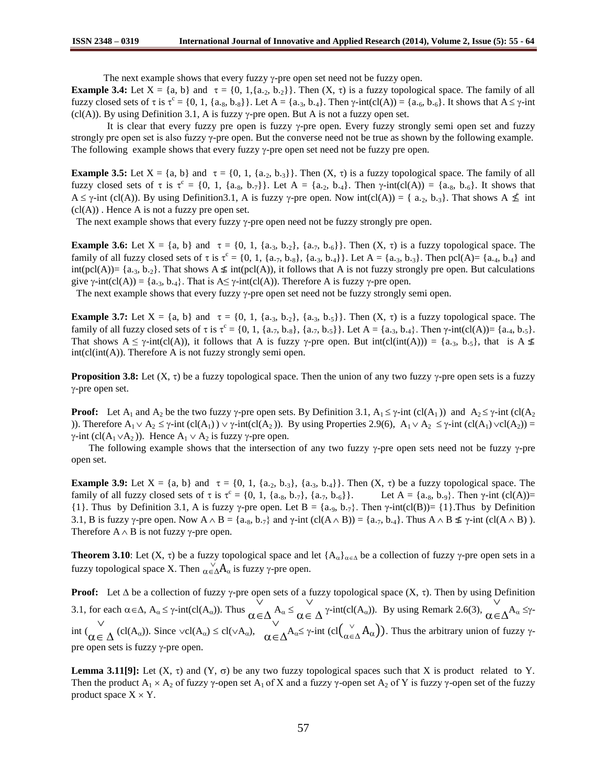The next example shows that every fuzzy  $\gamma$ -pre open set need not be fuzzy open.

**Example 3.4:** Let  $X = \{a, b\}$  and  $\tau = \{0, 1, \{a_2, b_2\}\}\$ . Then  $(X, \tau)$  is a fuzzy topological space. The family of all fuzzy closed sets of  $\tau$  is  $\tau^c = \{0, 1, \{a_{.8}, b_{.8}\}\}\.$  Let  $A = \{a_{.3}, b_{.4}\}\.$  Then  $\gamma$ -int(cl(A)) =  $\{a_{.6}, b_{.6}\}\.$  It shows that  $A \le \gamma$ -int (cl(A)). By using Definition 3.1, A is fuzzy  $\gamma$ -pre open. But A is not a fuzzy open set.

It is clear that every fuzzy pre open is fuzzy  $\gamma$ -pre open. Every fuzzy strongly semi open set and fuzzy strongly pre open set is also fuzzy γ-pre open. But the converse need not be true as shown by the following example. The following example shows that every fuzzy  $\gamma$ -pre open set need not be fuzzy pre open.

**Example 3.5:** Let  $X = \{a, b\}$  and  $\tau = \{0, 1, \{a_2, b_3\}\}\$ . Then  $(X, \tau)$  is a fuzzy topological space. The family of all fuzzy closed sets of  $\tau$  is  $\tau^c = \{0, 1, \{a_{.8}, b_{.7}\}\}\$ . Let  $A = \{a_{.2}, b_{.4}\}\$ . Then  $\gamma$ -int(cl(A)) =  $\{a_{.8}, b_{.6}\}\$ . It shows that  $A \le \gamma$ -int (cl(A)). By using Definition3.1, A is fuzzy  $\gamma$ -pre open. Now int(cl(A)) = { a.<sub>2</sub>, b.<sub>3</sub>}. That shows A  $\leq$  int  $(cl(A))$ . Hence A is not a fuzzy pre open set.

The next example shows that every fuzzy  $\gamma$ -pre open need not be fuzzy strongly pre open.

**Example 3.6:** Let  $X = \{a, b\}$  and  $\tau = \{0, 1, \{a_{.3}, b_{.2}\}, \{a_{.7}, b_{.6}\}\}\$ . Then  $(X, \tau)$  is a fuzzy topological space. The family of all fuzzy closed sets of  $\tau$  is  $\tau^c = \{0, 1, \{a_{\cdot7}, b_{\cdot8}\}, \{a_{\cdot3}, b_{\cdot4}\}\}\.$  Let  $A = \{a_{\cdot3}, b_{\cdot3}\}.$  Then pcl(A)=  $\{a_{\cdot4}, b_{\cdot4}\}$  and int(pcl(A))= {a.<sub>3</sub>, b.<sub>2</sub>}. That shows  $A \nleq int(pcl(A))$ , it follows that A is not fuzzy strongly pre open. But calculations give  $\gamma$ -int(cl(A)) = {a.<sub>3</sub>, b.<sub>4</sub>}. That is A $\leq \gamma$ -int(cl(A)). Therefore A is fuzzy  $\gamma$ -pre open.

The next example shows that every fuzzy  $\gamma$ -pre open set need not be fuzzy strongly semi open.

**Example 3.7:** Let  $X = \{a, b\}$  and  $\tau = \{0, 1, \{a_3, b_2\}, \{a_3, b_5\}\}\$ . Then  $(X, \tau)$  is a fuzzy topological space. The family of all fuzzy closed sets of  $\tau$  is  $\tau^c = \{0, 1, \{a_{\cdot7}, b_{\cdot8}\}, \{a_{\cdot7}, b_{\cdot5}\}\}\.$  Let  $A = \{a_{\cdot3}, b_{\cdot4}\}.$  Then  $\gamma$ -int(cl(A))=  $\{a_{\cdot4}, b_{\cdot5}\}.$ That shows  $A \leq \gamma$ -int(cl(A)), it follows that A is fuzzy  $\gamma$ -pre open. But int(cl(int(A))) = {a.<sub>3</sub>, b.<sub>5</sub>}, that is A  $\leq$  $int(cl(int(A))$ . Therefore A is not fuzzy strongly semi open.

**Proposition 3.8:** Let  $(X, \tau)$  be a fuzzy topological space. Then the union of any two fuzzy  $\gamma$ -pre open sets is a fuzzy -pre open set.

**Proof:** Let  $A_1$  and  $A_2$  be the two fuzzy  $\gamma$ -pre open sets. By Definition 3.1,  $A_1 \leq \gamma$ -int (cl(A<sub>1</sub>)) and  $A_2 \leq \gamma$ -int (cl(A<sub>2</sub>) )). Therefore  $A_1 \vee A_2 \le \gamma$ -int (cl(A<sub>1</sub>))  $\vee$   $\gamma$ -int(cl(A<sub>2</sub>)). By using Properties 2.9(6),  $A_1 \vee A_2 \le \gamma$ -int (cl(A<sub>1</sub>)  $\vee$ cl(A<sub>2</sub>)) =  $\gamma$ -int (cl(A<sub>1</sub>  $\vee$ A<sub>2</sub>)). Hence A<sub>1</sub>  $\vee$  A<sub>2</sub> is fuzzy  $\gamma$ -pre open.

The following example shows that the intersection of any two fuzzy  $\gamma$ -pre open sets need not be fuzzy  $\gamma$ -pre open set.

**Example 3.9:** Let  $X = \{a, b\}$  and  $\tau = \{0, 1, \{a_2, b_3\}, \{a_3, b_4\}\}\$ . Then  $(X, \tau)$  be a fuzzy topological space. The family of all fuzzy closed sets of  $\tau$  is  $\tau^c$ Let A = {a.g, b.9}. Then  $\gamma$ -int (cl(A))= {1}. Thus by Definition 3.1, A is fuzzy  $\gamma$ -pre open. Let B = {a.g, b.<sub>7</sub>}. Then  $\gamma$ -int(cl(B))= {1}. Thus by Definition 3.1, B is fuzzy  $\gamma$ -pre open. Now  $A \wedge B = \{a_{.8}, b_{.7}\}\$  and  $\gamma$ -int (cl( $A \wedge B$ )) =  $\{a_{.7}, b_{.4}\}\$ . Thus  $A \wedge B \nleq \gamma$ -int (cl( $A \wedge B$ )). Therefore  $A \wedge B$  is not fuzzy  $\gamma$ -pre open.

**Theorem 3.10**: Let  $(X, \tau)$  be a fuzzy topological space and let  $\{A_{\alpha}\}_{{\alpha \in \Delta}}$  be a collection of fuzzy  $\gamma$ -pre open sets in a fuzzy topological space X. Then  $\bigvee_{\alpha \in \Delta} A_{\alpha}$  is fuzzy  $\gamma$ -pre open.

**Proof:** Let  $\Delta$  be a collection of fuzzy  $\gamma$ -pre open sets of a fuzzy topological space  $(X, \tau)$ . Then by using Definition 3.1, for each  $\alpha \in \Delta$ ,  $A_{\alpha} \leq \gamma \text{-}int(cl(A_{\alpha}))$ . Thus  $\bigvee$  $\alpha \in \Delta A^{\alpha} \leq$  $\checkmark$  $\alpha \in \Delta^{\gamma\text{-}int(cl(A_{\alpha}))}$ . By using Remark 2.6(3),  $\bar{\vee}$  $\alpha \in \Delta^{A_{\alpha}} \leq \gamma$ - $\frac{v}{\sin t}$  $\alpha \in \Delta$  (cl(A<sub> $\alpha$ </sub>)). Since  $\vee$ cl(A<sub> $\alpha$ </sub>)  $\leq$  cl( $\vee$ A $\alpha$ ),  $\vee$  $\alpha \in \Delta^{A_{\alpha} \leq \gamma \text{-} \text{int } (cl{}_{\alpha \in \alpha}^{\vee})$  $\chi^{\vee}$   $(A_{\alpha})$ ). Thus the arbitrary union of fuzzy  $\gamma$ pre open sets is fuzzy  $\gamma$ -pre open.

**Lemma 3.11[9]:** Let  $(X, \tau)$  and  $(Y, \sigma)$  be any two fuzzy topological spaces such that X is product related to Y. Then the product  $A_1 \times A_2$  of fuzzy  $\gamma$ -open set  $A_1$  of X and a fuzzy  $\gamma$ -open set  $A_2$  of Y is fuzzy  $\gamma$ -open set of the fuzzy product space  $X \times Y$ .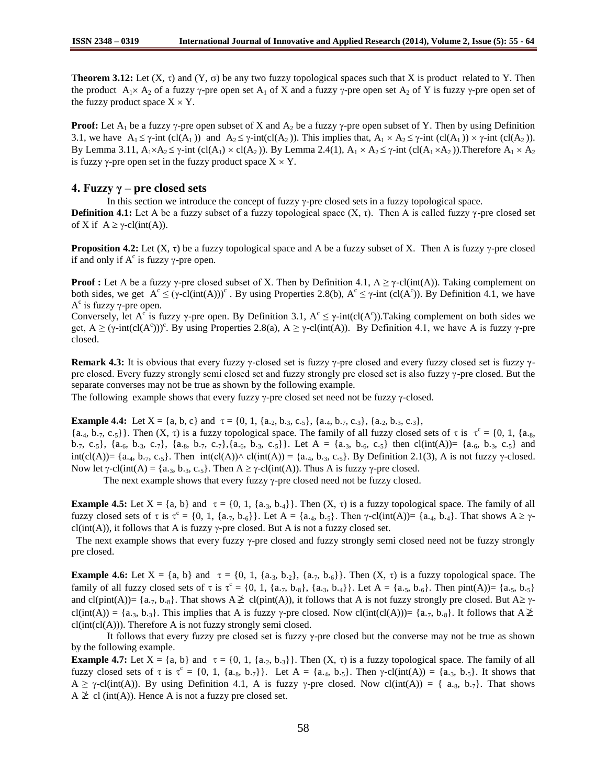**Theorem 3.12:** Let  $(X, \tau)$  and  $(Y, \sigma)$  be any two fuzzy topological spaces such that X is product related to Y. Then the product  $A_1 \times A_2$  of a fuzzy  $\gamma$ -pre open set  $A_1$  of X and a fuzzy  $\gamma$ -pre open set  $A_2$  of Y is fuzzy  $\gamma$ -pre open set of the fuzzy product space  $X \times Y$ .

**Proof:** Let  $A_1$  be a fuzzy  $\gamma$ -pre open subset of X and  $A_2$  be a fuzzy  $\gamma$ -pre open subset of Y. Then by using Definition 3.1, we have  $A_1 \le \gamma$ -int (cl(A<sub>1</sub>)) and  $A_2 \le \gamma$ -int(cl(A<sub>2</sub>)). This implies that,  $A_1 \times A_2 \le \gamma$ -int (cl(A<sub>1</sub>))  $\times \gamma$ -int (cl(A<sub>2</sub>)). By Lemma 3.11,  $A_1 \times A_2 \le \gamma$ -int (cl(A<sub>1</sub>)  $\times$  cl(A<sub>2</sub>)). By Lemma 2.4(1),  $A_1 \times A_2 \le \gamma$ -int (cl(A<sub>1</sub>  $\times$  A<sub>2</sub>)). Therefore  $A_1 \times A_2$ is fuzzy  $\gamma$ -pre open set in the fuzzy product space  $X \times Y$ .

## **4. Fuzzy γ – pre closed sets**

In this section we introduce the concept of fuzzy  $\gamma$ -pre closed sets in a fuzzy topological space.

**Definition 4.1:** Let A be a fuzzy subset of a fuzzy topological space  $(X, \tau)$ . Then A is called fuzzy  $\gamma$ -pre closed set of X if  $A \ge \gamma$ -cl(int(A)).

**Proposition 4.2:** Let  $(X, \tau)$  be a fuzzy topological space and A be a fuzzy subset of X. Then A is fuzzy  $\gamma$ -pre closed if and only if  $A^c$  is fuzzy  $\gamma$ -pre open.

**Proof :** Let A be a fuzzy  $\gamma$ -pre closed subset of X. Then by Definition 4.1,  $A \geq \gamma$ -cl(int(A)). Taking complement on both sides, we get  $A^c \le (\gamma - cl(int(A)))^c$ . By using Properties 2.8(b),  $A^c \le \gamma$ -int (cl(A<sup>c</sup>)). By Definition 4.1, we have  $A<sup>c</sup>$  is fuzzy γ-pre open.

Conversely, let  $A^c$  is fuzzy  $\gamma$ -pre open. By Definition 3.1,  $A^c \leq \gamma$ -int(cl( $A^c$ )). Taking complement on both sides we get,  $A \ge (\gamma \text{-int}(cl(A^c)))^c$ . By using Properties 2.8(a),  $A \ge \gamma \text{-cl(int(A))}$ . By Definition 4.1, we have A is fuzzy  $\gamma$ -pre closed.

**Remark 4.3:** It is obvious that every fuzzy γ-closed set is fuzzy γ-pre closed and every fuzzy closed set is fuzzy γpre closed. Every fuzzy strongly semi closed set and fuzzy strongly pre closed set is also fuzzy γ-pre closed. But the separate converses may not be true as shown by the following example.

The following example shows that every fuzzy  $\gamma$ -pre closed set need not be fuzzy  $\gamma$ -closed.

**Example 4.4:** Let  $X = \{a, b, c\}$  and  $\tau = \{0, 1, \{a_{.2}, b_{.3}, c_{.5}\}, \{a_{.4}, b_{.7}, c_{.3}\}, \{a_{.2}, b_{.3}, c_{.3}\},\}$ 

 ${a_{4}, b_{7}, c_{5}}$ . Then  $(X, \tau)$  is a fuzzy topological space. The family of all fuzzy closed sets of  $\tau$  is  $\tau^c = \{0, 1, \{a_{8},$ b.7, c.5}, {a.6, b.3, c.7}, {a.8, b.7, c.7}, {a.6, b.3, c.5}}. Let A = {a.3, b.6, c.5} then cl(int(A))= {a.6, b.3, c.5} and int(cl(A))= {a.<sub>4</sub>, b.<sub>7</sub>, c.<sub>5</sub>}. Then  $int(cl(A)) \wedge cl(int(A)) = {a_4, b_3, c_5}$ . By Definition 2.1(3), A is not fuzzy  $\gamma$ -closed. Now let  $\gamma$ -cl(int(A) = {a.<sub>3</sub>, b.<sub>3</sub>, c.<sub>5</sub>}. Then  $A \ge \gamma$ -cl(int(A)). Thus A is fuzzy  $\gamma$ -pre closed.

The next example shows that every fuzzy  $\gamma$ -pre closed need not be fuzzy closed.

**Example 4.5:** Let  $X = \{a, b\}$  and  $\tau = \{0, 1, \{a_3, b_4\}\}\$ . Then  $(X, \tau)$  is a fuzzy topological space. The family of all fuzzy closed sets of τ is τ<sup>c</sup> = {0, 1, {a.<sub>7</sub>, b.<sub>6</sub>}}. Let A = {a.<sub>4</sub>, b.<sub>5</sub>}. Then γ-cl(int(A))= {a.<sub>4</sub>, b.<sub>4</sub>}. That shows A ≥ γ $cl(int(A))$ , it follows that A is fuzzy  $\gamma$ -pre closed. But A is not a fuzzy closed set.

The next example shows that every fuzzy  $\gamma$ -pre closed and fuzzy strongly semi closed need not be fuzzy strongly pre closed.

**Example 4.6:** Let  $X = \{a, b\}$  and  $\tau = \{0, 1, \{a_3, b_2\}, \{a_7, b_6\}\}\.$  Then  $(X, \tau)$  is a fuzzy topological space. The family of all fuzzy closed sets of  $\tau$  is  $\tau^c = \{0, 1, \{a_{\cdot7}, b_{\cdot8}\}, \{a_{\cdot3}, b_{\cdot4}\}\}\.$  Let  $A = \{a_{\cdot5}, b_{\cdot6}\}.$  Then pint(A))=  $\{a_{\cdot5}, b_{\cdot5}\}$ and cl(pint(A))= { $a_{.7}$ ,  $b_{.8}$ }. That shows  $A \not\geq cl(pint(A))$ , it follows that A is not fuzzy strongly pre closed. But  $A \geq \gamma$ cl(int(A)) = {a.<sub>3</sub>, b.<sub>3</sub>}. This implies that A is fuzzy  $\gamma$ -pre closed. Now cl(int(cl(A)))= {a.<sub>7</sub>, b.<sub>8</sub>}. It follows that A  $\geq$  $cl(int(cl(A)))$ . Therefore A is not fuzzy strongly semi closed.

It follows that every fuzzy pre closed set is fuzzy γ-pre closed but the converse may not be true as shown by the following example.

**Example 4.7:** Let  $X = \{a, b\}$  and  $\tau = \{0, 1, \{a_2, b_3\}\}\$ . Then  $(X, \tau)$  is a fuzzy topological space. The family of all fuzzy closed sets of  $\tau$  is  $\tau^c = \{0, 1, \{a_{.8}, b_{.7}\}\}\.$  Let  $A = \{a_{.4}, b_{.5}\}.$  Then  $\gamma$ -cl(int(A)) =  $\{a_{.3}, b_{.5}\}.$  It shows that  $A \ge \gamma$ -cl(int(A)). By using Definition 4.1, A is fuzzy  $\gamma$ -pre closed. Now cl(int(A)) = { a.g, b.7}. That shows  $A \not\geq cl$  (int(A)). Hence A is not a fuzzy pre closed set.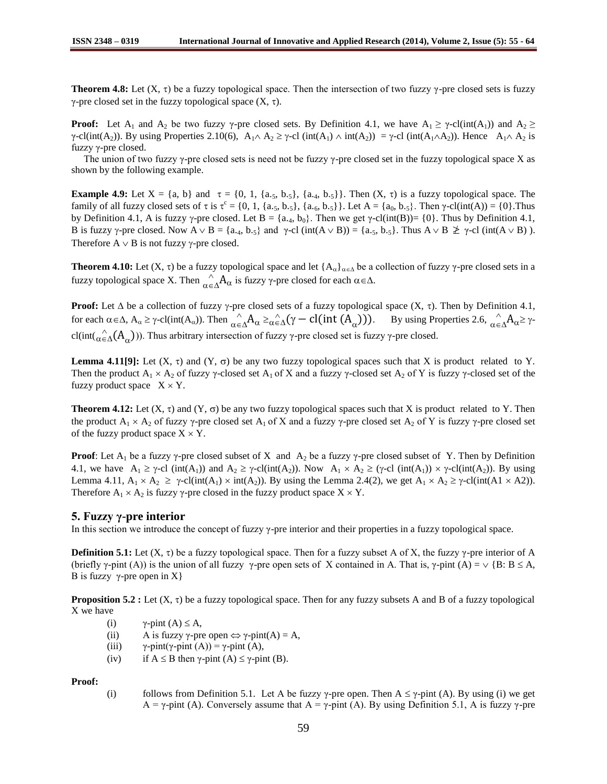**Theorem 4.8:** Let  $(X, \tau)$  be a fuzzy topological space. Then the intersection of two fuzzy  $\gamma$ -pre closed sets is fuzzy γ-pre closed set in the fuzzy topological space  $(X, τ)$ .

**Proof:** Let  $A_1$  and  $A_2$  be two fuzzy  $\gamma$ -pre closed sets. By Definition 4.1, we have  $A_1 \geq \gamma$ -cl(int(A<sub>1</sub>)) and  $A_2 \geq$  $\gamma$ -cl(int(A<sub>2</sub>)). By using Properties 2.10(6),  $A_1 \wedge A_2 \ge \gamma$ -cl (int(A<sub>1</sub>)  $\wedge$  int(A<sub>2</sub>)) =  $\gamma$ -cl (int(A<sub>1</sub> $\wedge$ A<sub>2</sub>)). Hence A<sub>1</sub> $\wedge$ A<sub>2</sub> is fuzzy γ-pre closed.

The union of two fuzzy  $\gamma$ -pre closed sets is need not be fuzzy  $\gamma$ -pre closed set in the fuzzy topological space X as shown by the following example.

**Example 4.9:** Let  $X = \{a, b\}$  and  $\tau = \{0, 1, \{a_{.5}, b_{.5}\}, \{a_{.4}, b_{.5}\}\}\.$  Then  $(X, \tau)$  is a fuzzy topological space. The family of all fuzzy closed sets of  $\tau$  is  $\tau^c = \{0, 1, \{a_{.5}, b_{.5}\}, \{a_{.6}, b_{.5}\}\}\.$  Let  $A = \{a_0, b_{.5}\}\.$  Then  $\gamma$ -cl(int(A)) =  $\{0\}.$  Thus by Definition 4.1, A is fuzzy  $\gamma$ -pre closed. Let B = {a.4, b<sub>0</sub>}. Then we get  $\gamma$ -cl(int(B))= {0}. Thus by Definition 4.1, B is fuzzy  $\gamma$ -pre closed. Now  $A \vee B = \{a_{.4}, b_{.5}\}$  and  $\gamma$ -cl (int( $A \vee B$ )) =  $\{a_{.5}, b_{.5}\}$ . Thus  $A \vee B \not\geq \gamma$ -cl (int( $A \vee B$ )). Therefore  $A \vee B$  is not fuzzy  $\gamma$ -pre closed.

**Theorem 4.10:** Let (X,  $\tau$ ) be a fuzzy topological space and let  $\{A_{\alpha}\}_{\alpha \in \Delta}$  be a collection of fuzzy  $\gamma$ -pre closed sets in a fuzzy topological space X. Then  $\bigwedge_{\alpha \in \Delta}^{\wedge} A_{\alpha}$  is fuzzy γ-pre closed for each  $\alpha \in \Delta$ .

**Proof:** Let  $\Delta$  be a collection of fuzzy  $\gamma$ -pre closed sets of a fuzzy topological space  $(X, \tau)$ . Then by Definition 4.1, for each  $\alpha \in \Delta$ ,  $A_{\alpha} \ge \gamma$ -cl(int(A<sub>α</sub>)). Then  $\alpha \in \Delta A_{\alpha} \ge \alpha \in \Delta (\gamma - \text{cl(int } (A_{\alpha})))$ . By using Properties 2.6,  $\alpha \in \Delta A_{\alpha} \ge \gamma$ cl(int( $\alpha \in \Delta(A_{\alpha})$ )). Thus arbitrary intersection of fuzzy  $\gamma$ -pre closed set is fuzzy  $\gamma$ -pre closed.

**Lemma 4.11[9]:** Let  $(X, \tau)$  and  $(Y, \sigma)$  be any two fuzzy topological spaces such that X is product related to Y. Then the product  $A_1 \times A_2$  of fuzzy  $\gamma$ -closed set  $A_1$  of X and a fuzzy  $\gamma$ -closed set  $A_2$  of Y is fuzzy  $\gamma$ -closed set of the fuzzy product space  $X \times Y$ .

**Theorem 4.12:** Let  $(X, \tau)$  and  $(Y, \sigma)$  be any two fuzzy topological spaces such that X is product related to Y. Then the product  $A_1 \times A_2$  of fuzzy  $\gamma$ -pre closed set  $A_1$  of X and a fuzzy  $\gamma$ -pre closed set  $A_2$  of Y is fuzzy  $\gamma$ -pre closed set of the fuzzy product space  $X \times Y$ .

**Proof**: Let  $A_1$  be a fuzzy  $\gamma$ -pre closed subset of X and  $A_2$  be a fuzzy  $\gamma$ -pre closed subset of Y. Then by Definition 4.1, we have  $A_1 \ge \gamma$ -cl (int(A<sub>1</sub>)) and  $A_2 \ge \gamma$ -cl(int(A<sub>2</sub>)). Now  $A_1 \times A_2 \ge (\gamma$ -cl (int(A<sub>1</sub>))  $\times \gamma$ -cl(int(A<sub>2</sub>)). By using Lemma 4.11,  $A_1 \times A_2 \ge \gamma$ -cl(int(A<sub>1</sub>)  $\times$  int(A<sub>2</sub>)). By using the Lemma 2.4(2), we get  $A_1 \times A_2 \ge \gamma$ -cl(int(A1  $\times$  A2)). Therefore  $A_1 \times A_2$  is fuzzy  $\gamma$ -pre closed in the fuzzy product space  $X \times Y$ .

## **5. Fuzzy γ-pre interior**

In this section we introduce the concept of fuzzy γ-pre interior and their properties in a fuzzy topological space.

**Definition 5.1:** Let  $(X, \tau)$  be a fuzzy topological space. Then for a fuzzy subset A of X, the fuzzy  $\gamma$ -pre interior of A (briefly  $\gamma$ -pint (A)) is the union of all fuzzy  $\gamma$ -pre open sets of X contained in A. That is,  $\gamma$ -pint (A) =  $\lor$  {B: B  $\leq$  A, B is fuzzy  $\gamma$ -pre open in X}

**Proposition 5.2 :** Let  $(X, \tau)$  be a fuzzy topological space. Then for any fuzzy subsets A and B of a fuzzy topological X we have

- (i)  $\gamma$ -pint  $(A) \leq A$ ,
- (ii) A is fuzzy  $\gamma$ -pre open  $\Leftrightarrow \gamma$ -pint(A) = A,
- (iii)  $\gamma$ -pint(γ-pint (A)) = γ-pint (A),
- (iv) if  $A \leq B$  then  $\gamma$ -pint (A)  $\leq \gamma$ -pint (B).

**Proof:**

(i) follows from Definition 5.1. Let A be fuzzy  $\gamma$ -pre open. Then A  $\leq \gamma$ -pint (A). By using (i) we get  $A = \gamma$ -pint (A). Conversely assume that  $A = \gamma$ -pint (A). By using Definition 5.1, A is fuzzy  $\gamma$ -pre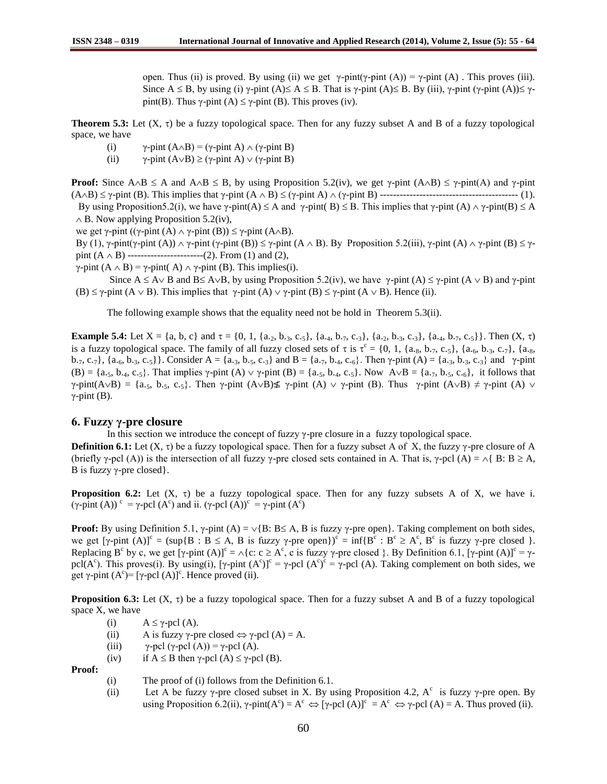open. Thus (ii) is proved. By using (ii) we get  $γ$ -pint(γ-pint (A)) =  $γ$ -pint (A). This proves (iii). Since  $A \leq B$ , by using (i)  $\gamma$ -pint (A)  $\leq A \leq B$ . That is  $\gamma$ -pint (A)  $\leq B$ . By (iii),  $\gamma$ -pint ( $\gamma$ -pint (A))  $\leq \gamma$ pint(B). Thus  $\gamma$ -pint (A)  $\leq \gamma$ -pint (B). This proves (iv).

**Theorem 5.3:** Let  $(X, \tau)$  be a fuzzy topological space. Then for any fuzzy subset A and B of a fuzzy topological space, we have

- (i)  $\gamma$ -pint (A $\land$ B) = ( $\gamma$ -pint A)  $\land$  ( $\gamma$ -pint B)
- (ii)  $\gamma$ -pint (A $\lor$ B)  $\geq$  ( $\gamma$ -pint A)  $\lor$  ( $\gamma$ -pint B)

**Proof:** Since  $A \triangle B \le A$  and  $A \triangle B \le B$ , by using Proposition 5.2(iv), we get  $\gamma$ -pint  $(A \triangle B) \le \gamma$ -pint(A) and  $\gamma$ -pint (AB) γ-pint (B). This implies that γ-pint (A B) (γ-pint A) (γ-pint B) ------------------------------------------ (1). By using Proposition5.2(i), we have  $\gamma$ -pint(A)  $\leq$  A and  $\gamma$ -pint(B)  $\leq$  B. This implies that  $\gamma$ -pint (A)  $\land$   $\gamma$ -pint(B)  $\leq$  A  $\wedge$  B. Now applying Proposition 5.2(iv),

we get  $\gamma$ -pint (( $\gamma$ -pint (A)  $\land \gamma$ -pint (B))  $\leq \gamma$ -pint (A $\land$ B).

By (1), γ-pint(γ-pint (A))  $\land$  γ-pint (γ-pint (B))  $\leq$  γ-pint (A  $\land$  B). By Proposition 5.2(iii), γ-pint (A)  $\land$  γ-pint (B)  $\leq$  γpint  $(A \wedge B)$  ----------------------(2). From (1) and (2),

γ-pint  $(A \wedge B) = \gamma$ -pint  $(A) \wedge \gamma$ -pint  $(B)$ . This implies(i).

Since  $A \leq A \vee B$  and  $B \leq A \vee B$ , by using Proposition 5.2(iv), we have  $\gamma$ -pint (A)  $\leq \gamma$ -pint (A  $\vee$  B) and  $\gamma$ -pint (B)  $\leq \gamma$ -pint (A  $\vee$  B). This implies that  $\gamma$ -pint (A)  $\vee$   $\gamma$ -pint (B)  $\leq \gamma$ -pint (A  $\vee$  B). Hence (ii).

The following example shows that the equality need not be hold in Theorem 5.3(ii).

**Example 5.4:** Let  $X = \{a, b, c\}$  and  $\tau = \{0, 1, \{a_{.2}, b_{.3}, c_{.5}\}, \{a_{.4}, b_{.7}, c_{.3}\}, \{a_{.2}, b_{.3}, c_{.3}\}, \{a_{.4}, b_{.7}, c_{.5}\}\}\.$  Then  $(X, \tau)$ is a fuzzy topological space. The family of all fuzzy closed sets of  $\tau$  is  $\tau^c = \{0, 1, \{a_{.8}, b_{.7}, c_{.5}\}, \{a_{.6}, b_{.3}, c_{.7}\}, \{a_{.8}, c_{.9}, c_{.9}\}$ b.7, c.7}, {a.<sub>6</sub>, b.3, c.5}}. Consider A = {a.3, b.5, c.3} and B = {a.7, b.4, c.<sub>6</sub>}. Then γ-pint (A) = {a.3, b.3, c.3} and γ-pint (B) = {a.5, b.4, c.5}. That implies  $\gamma$ -pint (A)  $\vee$   $\gamma$ -pint (B) = {a.5, b.4, c.5}. Now A $\vee$ B = {a.7, b.5, c.6}, it follows that  $\gamma$ -pint(A $\vee$ B) = {a.5, b.5, c.5}. Then  $\gamma$ -pint (A $\vee$ B) $\neq$   $\gamma$ -pint (A)  $\vee$   $\gamma$ -pint (B). Thus  $\gamma$ -pint (A $\vee$ B)  $\neq$   $\gamma$ -pint (A)  $\vee$  $γ$ -pint (B).

### **6. Fuzzy γ-pre closure**

In this section we introduce the concept of fuzzy γ-pre closure in a fuzzy topological space.

**Definition 6.1:** Let  $(X, \tau)$  be a fuzzy topological space. Then for a fuzzy subset A of X, the fuzzy  $\gamma$ -pre closure of A (briefly γ-pcl (A)) is the intersection of all fuzzy γ-pre closed sets contained in A. That is, γ-pcl (A) =  $\land$  B: B  $\geq$  A, B is fuzzy  $\gamma$ -pre closed.

**Proposition 6.2:** Let  $(X, \tau)$  be a fuzzy topological space. Then for any fuzzy subsets A of X, we have i. (γ-pint (A))<sup>c</sup> = γ-pcl (A<sup>c</sup>) and ii. (γ-pcl (A))<sup>c</sup> = γ-pint (A<sup>c</sup>)

**Proof:** By using Definition 5.1,  $\gamma$ -pint (A) =  $\lor$ {B: B \le A, B is fuzzy  $\gamma$ -pre open}. Taking complement on both sides, we get  $[\gamma\text{-pint (A)}]^c = (\sup\{B : B \le A, B \text{ is fuzzy } \gamma\text{-pre open}\})^c = \inf\{B^c : B^c \ge A^c, B^c \text{ is fuzzy } \gamma\text{-pre closed }\}.$ Replacing B<sup>c</sup> by c, we get  $[\gamma\text{-pint (A)]}^c = \Lambda\{c: c \geq A^c, c \text{ is fuzzy } \gamma\text{-pre closed }\}.$  By Definition 6.1,  $[\gamma\text{-pint (A)]}^c = \gamma\text{-}$ pcl( $A^c$ ). This proves(i). By using(i), [ $\gamma$ -pint  $(A^c)$ ]<sup>c</sup> =  $\gamma$ -pcl  $(A^c)$ <sup>c</sup> =  $\gamma$ -pcl (A). Taking complement on both sides, we get  $\gamma$ -pint  $(A^c)$ = [ $\gamma$ -pcl  $(A)$ ]<sup>c</sup>. Hence proved (ii).

**Proposition 6.3:** Let  $(X, \tau)$  be a fuzzy topological space. Then for a fuzzy subset A and B of a fuzzy topological space X, we have

- (i)  $A \leq \gamma$ -pcl (A).
- (ii) A is fuzzy  $\gamma$ -pre closed  $\Leftrightarrow \gamma$ -pcl (A) = A.
- (iii)  $\gamma$ -pcl ( $\gamma$ -pcl (A)) =  $\gamma$ -pcl (A).
- (iv) if  $A \leq B$  then  $\gamma$ -pcl (A)  $\leq \gamma$ -pcl (B).

**Proof:**

- (i) The proof of (i) follows from the Definition 6.1.
- (ii) Let A be fuzzy  $\gamma$ -pre closed subset in X. By using Proposition 4.2, A<sup>c</sup> is fuzzy  $\gamma$ -pre open. By using Proposition 6.2(ii),  $\gamma$ -pint( $A^c$ ) =  $A^c \Leftrightarrow [\gamma$ -pcl (A)] $c = A^c \Leftrightarrow \gamma$ -pcl (A) = A. Thus proved (ii).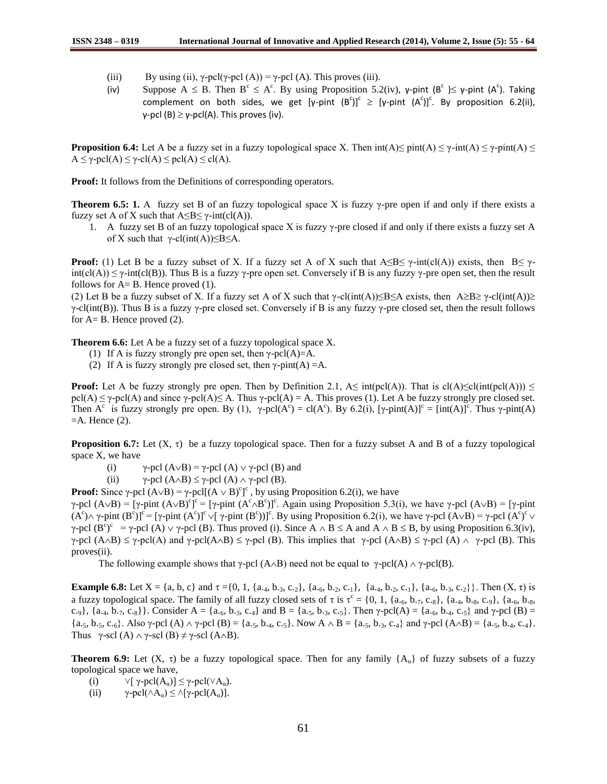- (iii) By using (ii),  $\gamma$ -pcl( $\gamma$ -pcl(A)) =  $\gamma$ -pcl(A). This proves (iii).
- (iv) Suppose  $A \leq B$ . Then  $B^c \leq A^c$ . By using Proposition 5.2(iv), y-pint  $(B^c) \leq \gamma$ -pint  $(A^c)$ . Taking complement on both sides, we get  $[\gamma\text{-pint (B^c)]}^c \geq [\gamma\text{-pint (A^c)]}^c$ . By proposition 6.2(ii), γ-pcl (B)  $\geq$  γ-pcl(A). This proves (iv).

**Proposition 6.4:** Let A be a fuzzy set in a fuzzy topological space X. Then  $int(A) \leq$  pint $(A) \leq$   $\gamma$ - $int(A) \leq$   $\gamma$ - $pint(A) \leq$  $A \leq \gamma$ -pcl(A)  $\leq \gamma$ -cl(A)  $\leq$  pcl(A)  $\leq$  cl(A).

**Proof:** It follows from the Definitions of corresponding operators.

**Theorem 6.5: 1.** A fuzzy set B of an fuzzy topological space X is fuzzy  $\gamma$ -pre open if and only if there exists a fuzzy set A of X such that  $A \leq B \leq \gamma$ -int(cl(A)).

1. A fuzzy set B of an fuzzy topological space X is fuzzy  $\gamma$ -pre closed if and only if there exists a fuzzy set A of X such that  $γ$ -cl(int(A)) $\leq B \leq A$ .

**Proof:** (1) Let B be a fuzzy subset of X. If a fuzzy set A of X such that  $A \leq B \leq \gamma$ -int(cl(A)) exists, then  $B \leq \gamma$  $int(cl(A)) \leq \gamma \text{-}int(cl(B))$ . Thus B is a fuzzy  $\gamma$ -pre open set. Conversely if B is any fuzzy  $\gamma$ -pre open set, then the result follows for  $A = B$ . Hence proved (1).

(2) Let B be a fuzzy subset of X. If a fuzzy set A of X such that  $\gamma$ -cl(int(A))≤B≤A exists, then A≥B≥  $\gamma$ -cl(int(A))≥ γ-cl(int(B)). Thus B is a fuzzy γ-pre closed set. Conversely if B is any fuzzy γ-pre closed set, then the result follows for  $A=$  B. Hence proved  $(2)$ .

**Theorem 6.6:** Let A be a fuzzy set of a fuzzy topological space X.

- (1) If A is fuzzy strongly pre open set, then  $\gamma$ -pcl(A)=A.
- (2) If A is fuzzy strongly pre closed set, then  $\gamma$ -pint(A) =A.

**Proof:** Let A be fuzzy strongly pre open. Then by Definition 2.1,  $A \leq int(\text{pel}(A))$ . That is  $\text{cl}(A) \leq \text{cl}(int(\text{pel}(A))) \leq$  $pcl(A) \leq \gamma$ -pcl(A) and since  $\gamma$ -pcl(A) $\leq$  A. Thus  $\gamma$ -pcl(A) = A. This proves (1). Let A be fuzzy strongly pre closed set. Then A<sup>c</sup> is fuzzy strongly pre open. By (1),  $\gamma$ -pcl(A<sup>c</sup>) = cl(A<sup>c</sup>). By 6.2(i),  $[\gamma$ -pint(A)]<sup>c</sup> = [int(A)]<sup>c</sup>. Thus  $\gamma$ -pint(A)  $=$ A. Hence  $(2)$ .

**Proposition 6.7:** Let  $(X, \tau)$  be a fuzzy topological space. Then for a fuzzy subset A and B of a fuzzy topological space X, we have

(i)  $\gamma$ -pcl (A $\lor$ B) =  $\gamma$ -pcl (A)  $\lor$   $\gamma$ -pcl (B) and

(ii)  $\gamma$ -pcl (A $\land$ B)  $\leq \gamma$ -pcl (A)  $\land \gamma$ -pcl (B).

**Proof:** Since  $\gamma$ -pcl  $(A \vee B) = \gamma$ -pcl[ $(A \vee B)^c$ ]<sup>c</sup>, by using Proposition 6.2(i), we have

 $\gamma$ -pcl (A $\lor$ B) = [ $\gamma$ -pint (A $\lor$ B)<sup>c</sup>]<sup>c</sup> = [ $\gamma$ -pint (A<sup>c</sup> $\land$ B<sup>c</sup>)]<sup>c</sup>. Again using Proposition 5.3(i), we have  $\gamma$ -pcl (A $\lor$ B) = [ $\gamma$ -pint  $(A^{c}) \wedge \gamma$ -pint  $(B^{c})$ ]<sup>c</sup> = [ $\gamma$ -pint  $(A^{c})$ ]<sup>c</sup>  $\vee$ [ $\gamma$ -pint  $(B^{c})$ ]<sup>c</sup>. By using Proposition 6.2(i), we have  $\gamma$ -pcl  $(A \vee B) = \gamma$ -pcl  $(A^{c})^{c} \vee$ γ-pcl (B<sup>c</sup>)<sup>c</sup> = γ-pcl (A)  $\vee$  γ-pcl (B). Thus proved (i). Since A  $\wedge$  B  $\leq$  A and A  $\wedge$  B  $\leq$  B, by using Proposition 6.3(iv),  $\gamma$ -pcl (A $\land$ B)  $\leq \gamma$ -pcl(A) and  $\gamma$ -pcl(A $\land$ B)  $\leq \gamma$ -pcl (B). This implies that  $\gamma$ -pcl (A $\land$ B)  $\leq \gamma$ -pcl (A)  $\land \gamma$ -pcl (B). This proves(ii).

The following example shows that  $\gamma$ -pcl (A $\land$ B) need not be equal to  $\gamma$ -pcl(A)  $\land$   $\gamma$ -pcl(B).

**Example 6.8:** Let  $X = \{a, b, c\}$  and  $\tau = \{0, 1, \{a_{.4}, b_{.3}, c_{.2}\}, \{a_{.6}, b_{.2}, c_{.1}\}, \{a_{.4}, b_{.2}, c_{.1}\}, \{a_{.6}, b_{.3}, c_{.2}\}\}\.$  Then  $(X, \tau)$  is a fuzzy topological space. The family of all fuzzy closed sets of  $\tau$  is  $\tau^c = \{0, 1, \{a_{\cdot6}, b_{\cdot7}, c_{\cdot8}\}, \{a_{\cdot4}, b_{\cdot8}, c_{\cdot9}\}, \{a_{\cdot6}, b_{\cdot8}, c_{\cdot9}\}$ c.<sub>9</sub>}, {a.<sub>4</sub>, b.<sub>7</sub>, c.<sub>8</sub>}. Consider A = {a.<sub>6</sub>, b.<sub>3</sub>, c.<sub>4</sub>} and B = {a.<sub>5</sub>, b.<sub>3</sub>, c.<sub>5</sub>}. Then  $\gamma$ -pcl(A) = {a.<sub>6</sub>, b.<sub>4</sub>, c.<sub>5</sub>} and  $\gamma$ -pcl (B) = {a.5, b.5, c.6}. Also γ-pcl (A)  $\land$  γ-pcl (B) = {a.5, b.4, c.5}. Now  $A \land B = \{a_1, b_2, b_3, c_4\}$  and γ-pcl (A $\land$ B) = {a.5, b.4, c.4}. Thus  $\gamma$ -scl (A)  $\land \gamma$ -scl (B)  $\neq \gamma$ -scl (A $\land$ B).

**Theorem 6.9:** Let  $(X, \tau)$  be a fuzzy topological space. Then for any family  $\{A_{\alpha}\}\$  of fuzzy subsets of a fuzzy topological space we have,

- (i)  $\forall [\gamma\text{-}pcl(A_{\alpha})] \leq \gamma\text{-}pcl(\forall A_{\alpha}).$
- (ii)  $\gamma$ -pcl( $\land A_{\alpha}$ )  $\leq \land$ [ $\gamma$ -pcl( $A_{\alpha}$ )].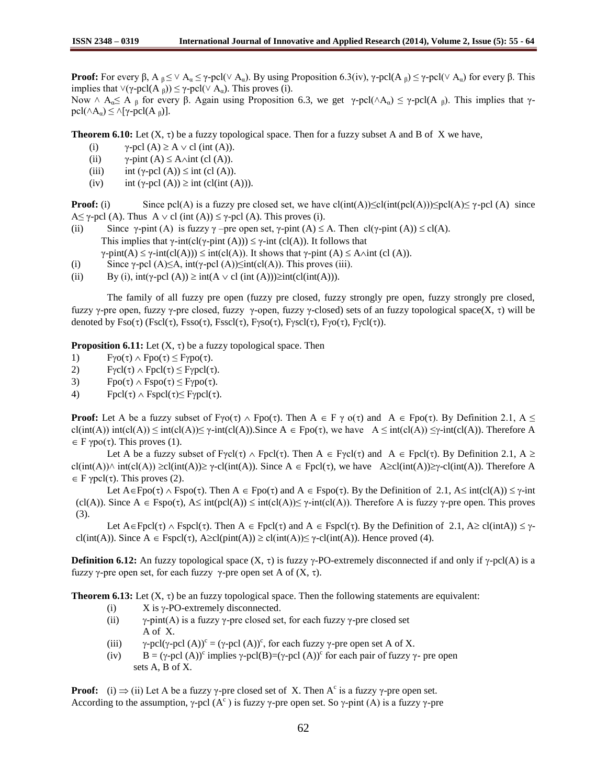**Proof:** For every β, A  $_8 \leq \vee$  A<sub>α</sub>  $\leq \gamma$ -pcl( $\vee$  A<sub>α</sub>). By using Proposition 6.3(iv),  $\gamma$ -pcl(A<sub>β</sub>)  $\leq \gamma$ -pcl( $\vee$  A<sub>α</sub>) for every β. This implies that  $\forall$ (γ-pcl(A <sub>β</sub>))  $\leq$  γ-pcl( $\lor$  A<sub>α</sub>). This proves (i).

Now  $\wedge$  A<sub>α</sub> $\leq$  A <sub>β</sub> for every β. Again using Proposition 6.3, we get γ-pcl( $\wedge$ A<sub>α</sub>)  $\leq$  γ-pcl(A <sub>β</sub>). This implies that γpcl( $∧$ A<sub>α</sub>)  $\leq$   $∧[γ-pcl(A_β)]$ .

**Theorem 6.10:** Let  $(X, \tau)$  be a fuzzy topological space. Then for a fuzzy subset A and B of X we have,

- (i)  $\gamma$ -pcl (A)  $\geq$  A  $\vee$  cl (int (A)).
- (ii)  $\gamma$ -pint (A)  $\leq$  A $\land$ int (cl (A)).
- (iii) int (γ-pcl (A))  $\leq$  int (cl (A)).
- (iv) int (γ-pcl (A))  $\geq$  int (cl(int (A))).

**Proof:** (i) Since pcl(A) is a fuzzy pre closed set, we have  $cl(int(A)) \leq cl(int(pel(A))) \leq pol(A) \leq \gamma$ -pcl(A) since  $A \le \gamma$ -pcl (A). Thus  $A \vee c l$  (int (A))  $\le \gamma$ -pcl (A). This proves (i).

(ii) Since  $\gamma$ -pint (A) is fuzzy  $\gamma$  –pre open set,  $\gamma$ -pint (A)  $\leq$  A. Then cl( $\gamma$ -pint (A))  $\leq$  cl(A). This implies that  $\gamma$ -int(cl( $\gamma$ -pint (A)))  $\leq \gamma$ -int (cl(A)). It follows that

 $\gamma$ -pint(A)  $\leq \gamma$ -int(cl(A)))  $\leq$  int(cl(A)). It shows that  $\gamma$ -pint (A)  $\leq$  A $\land$ int (cl(A)).

- (i) Since  $\gamma$ -pcl (A)≤A, int( $\gamma$ -pcl (A))≤int(cl(A)). This proves (iii).
- (ii) By (i),  $int(\gamma$ -pcl (A))  $\geq int(A \vee cl (int (A))) \geq int(cl(int(A))).$

 The family of all fuzzy pre open (fuzzy pre closed, fuzzy strongly pre open, fuzzy strongly pre closed, fuzzy γ-pre open, fuzzy γ-pre closed, fuzzy γ-open, fuzzy γ-closed) sets of an fuzzy topological space(X, τ) will be denoted by  $Fso(\tau)$  (Fscl( $\tau$ ),  $Fsso(\tau)$ , Fsscl( $\tau$ ),  $Fyso(\tau)$ ,  $Fysc\mathrm{l}(\tau)$ ,  $Fyo(\tau)$ ,  $Fycl(\tau)$ ).

**Proposition 6.11:** Let  $(X, \tau)$  be a fuzzy topological space. Then

- 1)  $F\gamma o(\tau) \wedge Fpo(\tau) \leq F\gamma po(\tau)$ .
- 2)  $F\gamma cl(\tau) \wedge F\text{pcl}(\tau) \leq F\gamma \text{pcl}(\tau).$
- 3)  $Fpo(\tau) \wedge Fspo(\tau) \leq F\gamma po(\tau)$ .
- 4) Fpcl( $\tau$ )  $\land$  Fspcl( $\tau$ ) $\leq$  Fypcl( $\tau$ ).

**Proof:** Let A be a fuzzy subset of F $\gamma o(\tau) \wedge \text{Fpo}(\tau)$ . Then  $A \in F \gamma o(\tau)$  and  $A \in \text{Fpo}(\tau)$ . By Definition 2.1,  $A \leq$ cl(int(A)) int(cl(A)) ≤ int(cl(A))≤ γ-int(cl(A)).Since A  $\in$  Fpo(τ), we have A ≤ int(cl(A)) ≤γ-int(cl(A)). Therefore A  $\in$  F  $\gamma$ po( $\tau$ ). This proves (1).

Let A be a fuzzy subset of Fγcl( $\tau$ )  $\land$  Fpcl( $\tau$ ). Then  $A \in F\gamma c l(\tau)$  and  $A \in F\gamma c l(\tau)$ . By Definition 2.1,  $A \ge$ cl(int(A)) $\land$  int(cl(A))  $\geq$ cl(int(A)) $\geq$   $\gamma$ -cl(int(A)). Since A  $\in$  Fpcl( $\tau$ ), we have A $\geq$ cl(int(A)) $\geq$  $\gamma$ -cl(int(A)). Therefore A  $\in$  F  $\gamma$ pcl( $\tau$ ). This proves (2).

Let  $A \in Fpo(\tau) \wedge Fspo(\tau)$ . Then  $A \in Fpo(\tau)$  and  $A \in Fspo(\tau)$ . By the Definition of 2.1,  $A \leq int(cl(A)) \leq \gamma$ -int (cl(A)). Since  $A \in Fspo(\tau)$ ,  $A \leq int(pcl(A)) \leq int(cl(A)) \leq \gamma-int(cl(A))$ . Therefore A is fuzzy  $\gamma$ -pre open. This proves (3).

Let  $A \in Fpel(\tau) \wedge Fspcl(\tau)$ . Then  $A \in Fpel(\tau)$  and  $A \in Fspcl(\tau)$ . By the Definition of 2.1,  $A \geq cl(intA)) \leq \gamma$ cl(int(A)). Since  $A \in \text{Fspcl}(\tau)$ ,  $A \geq cl(\text{pint}(A)) \geq cl(\text{int}(A)) \leq \gamma$ -cl(int(A)). Hence proved (4).

**Definition 6.12:** An fuzzy topological space  $(X, \tau)$  is fuzzy  $\gamma$ -PO-extremely disconnected if and only if  $\gamma$ -pcl(A) is a fuzzy γ-pre open set, for each fuzzy γ-pre open set A of  $(X, τ)$ .

**Theorem 6.13:** Let  $(X, \tau)$  be an fuzzy topological space. Then the following statements are equivalent:

- (i)  $X$  is  $\gamma$ -PO-extremely disconnected.
- (ii)  $\gamma$ -pint(A) is a fuzzy  $\gamma$ -pre closed set, for each fuzzy  $\gamma$ -pre closed set A of X.
- (iii)  $\gamma$ -pcl( $\gamma$ -pcl (A))<sup>c</sup> = ( $\gamma$ -pcl (A))<sup>c</sup>, for each fuzzy  $\gamma$ -pre open set A of X.
- (iv)  $B = (\gamma-\text{pol}(A))^c$  implies  $\gamma-\text{pol}(B) = (\gamma-\text{pol}(A))^c$  for each pair of fuzzy  $\gamma$  pre open sets A, B of X.

**Proof:** (i)  $\Rightarrow$  (ii) Let A be a fuzzy  $\gamma$ -pre closed set of X. Then A<sup>c</sup> is a fuzzy  $\gamma$ -pre open set. According to the assumption,  $\gamma$ -pcl (A<sup>c</sup>) is fuzzy  $\gamma$ -pre open set. So  $\gamma$ -pint (A) is a fuzzy  $\gamma$ -pre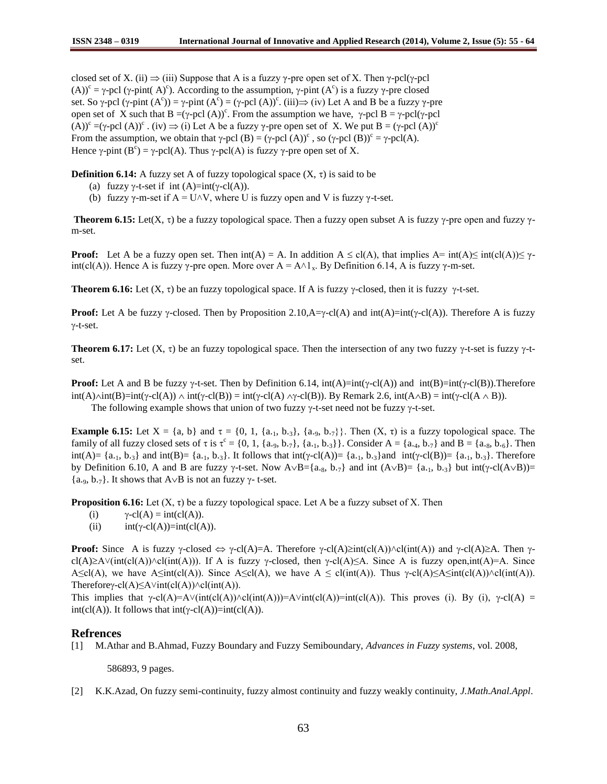closed set of X. (ii)  $\Rightarrow$  (iii) Suppose that A is a fuzzy  $\gamma$ -pre open set of X. Then  $\gamma$ -pcl( $\gamma$ -pcl (A))<sup>c</sup> =  $\gamma$ -pcl ( $\gamma$ -pint( A)<sup>c</sup>). According to the assumption,  $\gamma$ -pint (A<sup>c</sup>) is a fuzzy  $\gamma$ -pre closed set. So  $\gamma$ -pcl  $(\gamma$ -pint  $(A^c)$  =  $\gamma$ -pint  $(A^c)$  =  $(\gamma$ -pcl  $(A))^c$ . (iii)  $\Rightarrow$  (iv) Let A and B be a fuzzy  $\gamma$ -pre open set of X such that  $B = (\gamma$ -pcl  $(A))^c$ . From the assumption we have,  $\gamma$ -pcl  $B = \gamma$ -pcl $(\gamma$ -pcl (A))<sup>c</sup> =( $\gamma$ -pcl (A))<sup>c</sup>. (iv)  $\Rightarrow$  (i) Let A be a fuzzy  $\gamma$ -pre open set of X. We put B = ( $\gamma$ -pcl (A))<sup>c</sup> From the assumption, we obtain that  $\gamma$ -pcl (B) = ( $\gamma$ -pcl (A))<sup>c</sup>, so ( $\gamma$ -pcl (B))<sup>c</sup> =  $\gamma$ -pcl(A). Hence  $\gamma$ -pint (B<sup>c</sup>) =  $\gamma$ -pcl(A). Thus  $\gamma$ -pcl(A) is fuzzy  $\gamma$ -pre open set of X.

**Definition 6.14:** A fuzzy set A of fuzzy topological space  $(X, \tau)$  is said to be

- (a) fuzzy  $\gamma$ -t-set if int (A)=int( $\gamma$ -cl(A)).
- (b) fuzzy  $\gamma$ -m-set if A = U $\land$ V, where U is fuzzy open and V is fuzzy  $\gamma$ -t-set.

**Theorem 6.15:** Let(X,  $\tau$ ) be a fuzzy topological space. Then a fuzzy open subset A is fuzzy  $\gamma$ -pre open and fuzzy  $\gamma$ m-set.

**Proof:** Let A be a fuzzy open set. Then  $int(A) = A$ . In addition  $A \leq cl(A)$ , that implies  $A = int(A) \leq int(cl(A)) \leq \gamma$ int(cl(A)). Hence A is fuzzy  $\gamma$ -pre open. More over A = A $\land$ 1<sub>x</sub>. By Definition 6.14, A is fuzzy  $\gamma$ -m-set.

**Theorem 6.16:** Let  $(X, \tau)$  be an fuzzy topological space. If A is fuzzy  $\gamma$ -closed, then it is fuzzy  $\gamma$ -t-set.

**Proof:** Let A be fuzzy  $\gamma$ -closed. Then by Proposition 2.10,A= $\gamma$ -cl(A) and  $int(A)=int(\gamma$ -cl(A)). Therefore A is fuzzy  $\gamma$ -t-set.

**Theorem 6.17:** Let  $(X, \tau)$  be an fuzzy topological space. Then the intersection of any two fuzzy  $\gamma$ -t-set is fuzzy  $\gamma$ -tset.

**Proof:** Let A and B be fuzzy  $\gamma$ -t-set. Then by Definition 6.14,  $int(A)=int(\gamma - cI(A))$  and  $int(B)=int(\gamma - cI(B))$ . Therefore  $int(A) \wedge int(B) = int(\gamma - cI(A)) \wedge int(\gamma - cI(B)) = int(\gamma - cI(A) \wedge \gamma - cI(B)).$  By Remark 2.6,  $int(A \wedge B) = int(\gamma - cI(A \wedge B)).$ The following example shows that union of two fuzzy  $\gamma$ -t-set need not be fuzzy  $\gamma$ -t-set.

**Example 6.15:** Let  $X = \{a, b\}$  and  $\tau = \{0, 1, \{a_1, b_2\}, \{a_3, b_7\}\}\$ . Then  $(X, \tau)$  is a fuzzy topological space. The family of all fuzzy closed sets of  $\tau$  is  $\tau^c = \{0, 1, \{a_{.9}, b_{.7}\}, \{a_{.1}, b_{.3}\}\}\.$  Consider  $A = \{a_{.4}, b_{.7}\}\$  and  $B = \{a_{.8}, b_{.6}\}\.$  Then int(A)=  $\{a_{.1}, b_{.3}\}$  and int(B)=  $\{a_{.1}, b_{.3}\}$ . It follows that int( $\gamma$ -cl(A))=  $\{a_{.1}, b_{.3}\}$  and int( $\gamma$ -cl(B))=  $\{a_{.1}, b_{.3}\}$ . Therefore by Definition 6.10, A and B are fuzzy  $\gamma$ -t-set. Now A $\vee$ B={a.<sub>8</sub>, b.<sub>7</sub>} and int (A $\vee$ B)={a.<sub>1</sub>, b.<sub>3</sub>} but int( $\gamma$ -cl(A $\vee$ B))=  ${a_{.9}, b_{.7}}$ . It shows that  $A \vee B$  is not an fuzzy  $\gamma$ - t-set.

**Proposition 6.16:** Let  $(X, \tau)$  be a fuzzy topological space. Let A be a fuzzy subset of X. Then

- (i)  $\gamma$ -cl(A) = int(cl(A)).
- (ii)  $int(\gamma cl(A)) = int(cl(A)).$

**Proof:** Since A is fuzzy  $\gamma$ -closed  $\Leftrightarrow \gamma$ -cl(A)=A. Therefore  $\gamma$ -cl(A) $\geq$ int(cl(A)) $\wedge$ cl(int(A)) and  $\gamma$ -cl(A) $\geq$ A. Then  $\gamma$ cl(A)≥A∨(int(cl(A)) $\land$ cl(int(A))). If A is fuzzy  $\gamma$ -closed, then  $\gamma$ -cl(A)≤A. Since A is fuzzy open,int(A)=A. Since A $\leq cI(A)$ , we have A $\leq int(cI(A))$ . Since A $\leq cI(A)$ , we have A  $\leq cI(int(A))$ . Thus  $\gamma$ -cl(A) $\leq A \leq int(cI(A)) \wedge cI(int(A))$ . Thereforey-cl(A)≤A $\forall$ int(cl(A)) $\land$ cl(int(A)).

This implies that  $\gamma$ -cl(A)=A $\lor$ (int(cl(A)) $\lor$ cl(int(A))=A $\lor$ int(cl(A))=int(cl(A)). This proves (i). By (i),  $\gamma$ -cl(A) =  $int(cl(A))$ . It follows that  $int(\gamma-cl(A))=int(cl(A))$ .

# **Refrences**

[1] M.Athar and B.Ahmad, Fuzzy Boundary and Fuzzy Semiboundary, *Advances in Fuzzy systems*, vol. 2008,

586893, 9 pages.

[2] K.K.Azad, On fuzzy semi-continuity, fuzzy almost continuity and fuzzy weakly continuity, *J.Math.Anal.Appl*.